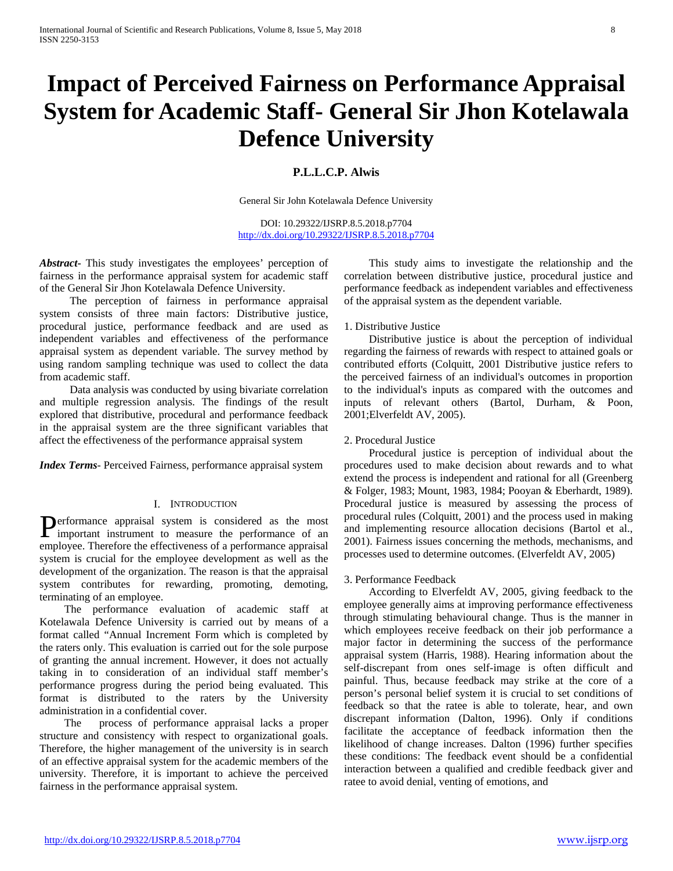# **Impact of Perceived Fairness on Performance Appraisal System for Academic Staff- General Sir Jhon Kotelawala Defence University**

# **P.L.L.C.P. Alwis**

General Sir John Kotelawala Defence University

DOI: 10.29322/IJSRP.8.5.2018.p7704 <http://dx.doi.org/10.29322/IJSRP.8.5.2018.p7704>

*Abstract***-** This study investigates the employees' perception of fairness in the performance appraisal system for academic staff of the General Sir Jhon Kotelawala Defence University.

 The perception of fairness in performance appraisal system consists of three main factors: Distributive justice, procedural justice, performance feedback and are used as independent variables and effectiveness of the performance appraisal system as dependent variable. The survey method by using random sampling technique was used to collect the data from academic staff.

 Data analysis was conducted by using bivariate correlation and multiple regression analysis. The findings of the result explored that distributive, procedural and performance feedback in the appraisal system are the three significant variables that affect the effectiveness of the performance appraisal system

*Index Terms*- Perceived Fairness, performance appraisal system

# I. INTRODUCTION

erformance appraisal system is considered as the most Performance appraisal system is considered as the most important instrument to measure the performance of an employee. Therefore the effectiveness of a performance appraisal system is crucial for the employee development as well as the development of the organization. The reason is that the appraisal system contributes for rewarding, promoting, demoting, terminating of an employee.

 The performance evaluation of academic staff at Kotelawala Defence University is carried out by means of a format called "Annual Increment Form which is completed by the raters only. This evaluation is carried out for the sole purpose of granting the annual increment. However, it does not actually taking in to consideration of an individual staff member's performance progress during the period being evaluated. This format is distributed to the raters by the University administration in a confidential cover.

 The process of performance appraisal lacks a proper structure and consistency with respect to organizational goals. Therefore, the higher management of the university is in search of an effective appraisal system for the academic members of the university. Therefore, it is important to achieve the perceived fairness in the performance appraisal system.

 This study aims to investigate the relationship and the correlation between distributive justice, procedural justice and performance feedback as independent variables and effectiveness of the appraisal system as the dependent variable.

# 1. Distributive Justice

 Distributive justice is about the perception of individual regarding the fairness of rewards with respect to attained goals or contributed efforts (Colquitt, 2001 Distributive justice refers to the perceived fairness of an individual's outcomes in proportion to the individual's inputs as compared with the outcomes and inputs of relevant others (Bartol, Durham, & Poon, 2001;Elverfeldt AV, 2005).

# 2. Procedural Justice

 Procedural justice is perception of individual about the procedures used to make decision about rewards and to what extend the process is independent and rational for all (Greenberg & Folger, 1983; Mount, 1983, 1984; Pooyan & Eberhardt, 1989). Procedural justice is measured by assessing the process of procedural rules (Colquitt, 2001) and the process used in making and implementing resource allocation decisions (Bartol et al., 2001). Fairness issues concerning the methods, mechanisms, and processes used to determine outcomes. (Elverfeldt AV, 2005)

# 3. Performance Feedback

 According to Elverfeldt AV, 2005, giving feedback to the employee generally aims at improving performance effectiveness through stimulating behavioural change. Thus is the manner in which employees receive feedback on their job performance a major factor in determining the success of the performance appraisal system (Harris, 1988). Hearing information about the self-discrepant from ones self-image is often difficult and painful. Thus, because feedback may strike at the core of a person's personal belief system it is crucial to set conditions of feedback so that the ratee is able to tolerate, hear, and own discrepant information (Dalton, 1996). Only if conditions facilitate the acceptance of feedback information then the likelihood of change increases. Dalton (1996) further specifies these conditions: The feedback event should be a confidential interaction between a qualified and credible feedback giver and ratee to avoid denial, venting of emotions, and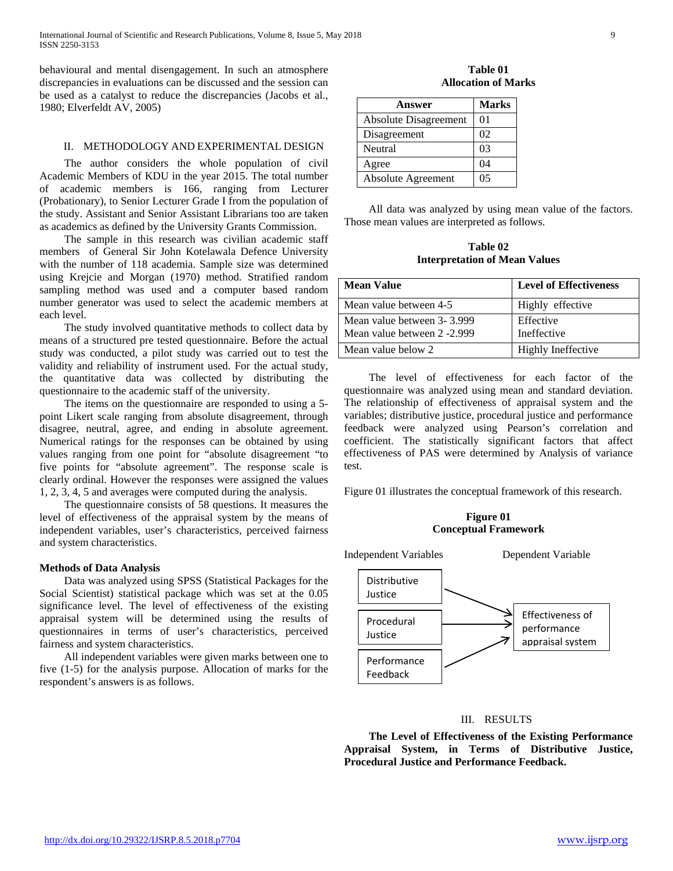behavioural and mental disengagement. In such an atmosphere discrepancies in evaluations can be discussed and the session can be used as a catalyst to reduce the discrepancies (Jacobs et al., 1980; Elverfeldt AV, 2005)

# II. METHODOLOGY AND EXPERIMENTAL DESIGN

 The author considers the whole population of civil Academic Members of KDU in the year 2015. The total number of academic members is 166, ranging from Lecturer (Probationary), to Senior Lecturer Grade I from the population of the study. Assistant and Senior Assistant Librarians too are taken as academics as defined by the University Grants Commission.

 The sample in this research was civilian academic staff members of General Sir John Kotelawala Defence University with the number of 118 academia. Sample size was determined using Krejcie and Morgan (1970) method. Stratified random sampling method was used and a computer based random number generator was used to select the academic members at each level.

 The study involved quantitative methods to collect data by means of a structured pre tested questionnaire. Before the actual study was conducted, a pilot study was carried out to test the validity and reliability of instrument used. For the actual study, the quantitative data was collected by distributing the questionnaire to the academic staff of the university.

 The items on the questionnaire are responded to using a 5 point Likert scale ranging from absolute disagreement, through disagree, neutral, agree, and ending in absolute agreement. Numerical ratings for the responses can be obtained by using values ranging from one point for "absolute disagreement "to five points for "absolute agreement". The response scale is clearly ordinal. However the responses were assigned the values 1, 2, 3, 4, 5 and averages were computed during the analysis.

 The questionnaire consists of 58 questions. It measures the level of effectiveness of the appraisal system by the means of independent variables, user's characteristics, perceived fairness and system characteristics.

### **Methods of Data Analysis**

 Data was analyzed using SPSS (Statistical Packages for the Social Scientist) statistical package which was set at the 0.05 significance level. The level of effectiveness of the existing appraisal system will be determined using the results of questionnaires in terms of user's characteristics, perceived fairness and system characteristics.

 All independent variables were given marks between one to five (1-5) for the analysis purpose. Allocation of marks for the respondent's answers is as follows.

**Table 01 Allocation of Marks**

| Answer                       | <b>Marks</b> |
|------------------------------|--------------|
| <b>Absolute Disagreement</b> | 01           |
| Disagreement                 | 02           |
| Neutral                      | 03           |
| Agree                        | 04           |
| <b>Absolute Agreement</b>    | 05           |

 All data was analyzed by using mean value of the factors. Those mean values are interpreted as follows.

**Table 02 Interpretation of Mean Values**

| <b>Mean Value</b>                                         | <b>Level of Effectiveness</b> |
|-----------------------------------------------------------|-------------------------------|
| Mean value between 4-5                                    | Highly effective              |
| Mean value between 3-3.999<br>Mean value between 2 -2.999 | Effective<br>Ineffective      |
| Mean value below 2                                        | Highly Ineffective            |

 The level of effectiveness for each factor of the questionnaire was analyzed using mean and standard deviation. The relationship of effectiveness of appraisal system and the variables; distributive justice, procedural justice and performance feedback were analyzed using Pearson's correlation and coefficient. The statistically significant factors that affect effectiveness of PAS were determined by Analysis of variance test.

Figure 01 illustrates the conceptual framework of this research.

**Figure 01 Conceptual Framework**



### III. RESULTS

 **The Level of Effectiveness of the Existing Performance Appraisal System, in Terms of Distributive Justice, Procedural Justice and Performance Feedback.**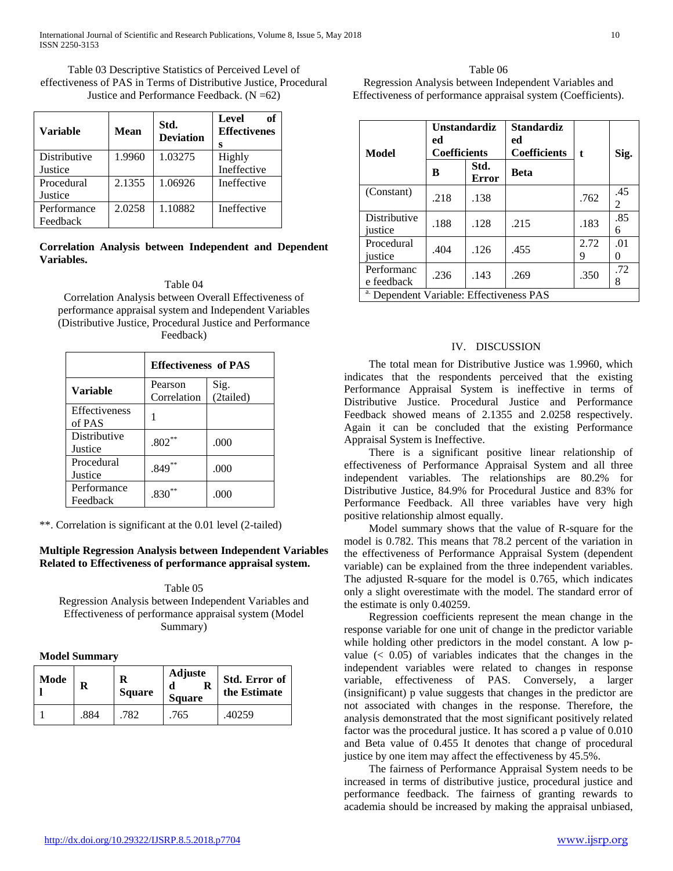Table 03 Descriptive Statistics of Perceived Level of effectiveness of PAS in Terms of Distributive Justice, Procedural Justice and Performance Feedback.  $(N = 62)$ 

| <b>Variable</b> | <b>Mean</b> | Std.<br><b>Deviation</b> | Level<br>of<br><b>Effectivenes</b><br>s |
|-----------------|-------------|--------------------------|-----------------------------------------|
| Distributive    | 1.9960      | 1.03275                  | Highly                                  |
| Justice         |             |                          | Ineffective                             |
| Procedural      | 2.1355      | 1.06926                  | Ineffective                             |
| Justice         |             |                          |                                         |
| Performance     | 2.0258      | 1.10882                  | Ineffective                             |
| Feedback        |             |                          |                                         |

# **Correlation Analysis between Independent and Dependent Variables.**

# Table 04

Correlation Analysis between Overall Effectiveness of performance appraisal system and Independent Variables (Distributive Justice, Procedural Justice and Performance Feedback)

|                                | <b>Effectiveness of PAS</b> |                   |  |
|--------------------------------|-----------------------------|-------------------|--|
| Variable                       | Pearson<br>Correlation      | Sig.<br>(2tailed) |  |
| <b>Effectiveness</b><br>of PAS |                             |                   |  |
| Distributive<br>Justice        | $.802**$                    | .000              |  |
| Procedural<br>Justice          | $.849**$                    | .000              |  |
| Performance<br>Feedback        | **<br>.830                  | .000              |  |

\*\*. Correlation is significant at the 0.01 level (2-tailed)

# **Multiple Regression Analysis between Independent Variables Related to Effectiveness of performance appraisal system.**

Table 05 Regression Analysis between Independent Variables and Effectiveness of performance appraisal system (Model Summary)

# **Model Summary**

| Mode | R<br>R<br><b>Square</b> |     | <b>Adjuste</b><br>R<br><b>Square</b> | Std. Error of<br>the Estimate |
|------|-------------------------|-----|--------------------------------------|-------------------------------|
|      | .884                    | 782 | .765                                 | .40259                        |

Table 06 Regression Analysis between Independent Variables and Effectiveness of performance appraisal system (Coefficients).

| <b>Model</b>                                        | <b>Unstandardiz</b><br>ed<br><b>Coefficients</b> |               | <b>Standardiz</b><br>ed<br><b>Coefficients</b> | t.        | Sig.                 |
|-----------------------------------------------------|--------------------------------------------------|---------------|------------------------------------------------|-----------|----------------------|
|                                                     | B                                                | Std.<br>Error | Beta                                           |           |                      |
| (Constant)                                          | .218                                             | .138          |                                                | .762      | .45<br>$\mathcal{L}$ |
| Distributive<br>justice                             | .188                                             | .128          | .215                                           | .183      | .85<br>6             |
| Procedural<br>justice                               | .404                                             | .126          | .455                                           | 2.72<br>9 | .01<br>0             |
| Performanc<br>e feedback                            | .236                                             | .143          | .269                                           | .350      | .72<br>8             |
| <sup>a.</sup> Dependent Variable: Effectiveness PAS |                                                  |               |                                                |           |                      |

# IV. DISCUSSION

 The total mean for Distributive Justice was 1.9960, which indicates that the respondents perceived that the existing Performance Appraisal System is ineffective in terms of Distributive Justice. Procedural Justice and Performance Feedback showed means of 2.1355 and 2.0258 respectively. Again it can be concluded that the existing Performance Appraisal System is Ineffective.

 There is a significant positive linear relationship of effectiveness of Performance Appraisal System and all three independent variables. The relationships are 80.2% for Distributive Justice, 84.9% for Procedural Justice and 83% for Performance Feedback. All three variables have very high positive relationship almost equally.

 Model summary shows that the value of R-square for the model is 0.782. This means that 78.2 percent of the variation in the effectiveness of Performance Appraisal System (dependent variable) can be explained from the three independent variables. The adjusted R-square for the model is 0.765, which indicates only a slight overestimate with the model. The standard error of the estimate is only 0.40259.

 Regression coefficients represent the mean change in the response variable for one unit of change in the predictor variable while holding other predictors in the model constant. A low pvalue  $( $0.05$ )$  of variables indicates that the changes in the independent variables were related to changes in response variable, effectiveness of PAS. Conversely, a larger (insignificant) p value suggests that changes in the predictor are not associated with changes in the response. Therefore, the analysis demonstrated that the most significant positively related factor was the procedural justice. It has scored a p value of 0.010 and Beta value of 0.455 It denotes that change of procedural justice by one item may affect the effectiveness by 45.5%.

 The fairness of Performance Appraisal System needs to be increased in terms of distributive justice, procedural justice and performance feedback. The fairness of granting rewards to academia should be increased by making the appraisal unbiased,